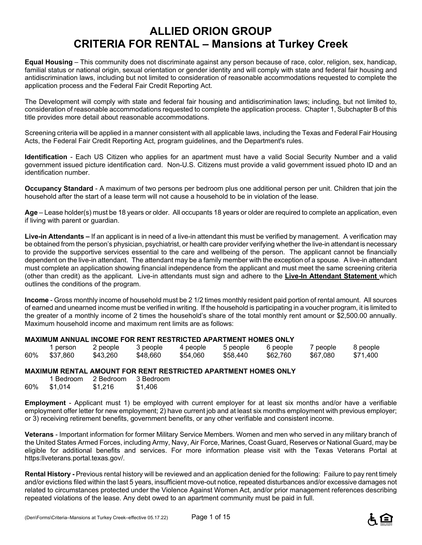# **ALLIED ORION GROUP CRITERIA FOR RENTAL – Mansions at Turkey Creek**

**Equal Housing** – This community does not discriminate against any person because of race, color, religion, sex, handicap, familial status or national origin, sexual orientation or gender identity and will comply with state and federal fair housing and antidiscrimination laws, including but not limited to consideration of reasonable accommodations requested to complete the application process and the Federal Fair Credit Reporting Act.

The Development will comply with state and federal fair housing and antidiscrimination laws; including, but not limited to, consideration of reasonable accommodations requested to complete the application process. Chapter 1, Subchapter B of this title provides more detail about reasonable accommodations.

Screening criteria will be applied in a manner consistent with all applicable laws, including the Texas and Federal Fair Housing Acts, the Federal Fair Credit Reporting Act, program guidelines, and the Department's rules.

**Identification** - Each US Citizen who applies for an apartment must have a valid Social Security Number and a valid government issued picture identification card. Non-U.S. Citizens must provide a valid government issued photo ID and an identification number.

**Occupancy Standard** - A maximum of two persons per bedroom plus one additional person per unit. Children that join the household after the start of a lease term will not cause a household to be in violation of the lease.

**Age** – Lease holder(s) must be 18 years or older. All occupants 18 years or older are required to complete an application, even if living with parent or guardian.

**Live-in Attendants –** If an applicant is in need of a live-in attendant this must be verified by management. A verification may be obtained from the person's physician, psychiatrist, or health care provider verifying whether the live-in attendant is necessary to provide the supportive services essential to the care and wellbeing of the person. The applicant cannot be financially dependent on the live-in attendant. The attendant may be a family member with the exception of a spouse. A live-in attendant must complete an application showing financial independence from the applicant and must meet the same screening criteria (other than credit) as the applicant. Live-in attendants must sign and adhere to the **Live-In Attendant Statement** which outlines the conditions of the program.

**Income** - Gross monthly income of household must be 2 1/2 times monthly resident paid portion of rental amount. All sources of earned and unearned income must be verified in writing. If the household is participating in a voucher program, it is limited to the greater of a monthly income of 2 times the household's share of the total monthly rent amount or \$2,500.00 annually. Maximum household income and maximum rent limits are as follows:

#### **MAXIMUM ANNUAL INCOME FOR RENT RESTRICTED APARTMENT HOMES ONLY**

|     | person   | 2 people | 3 people | 4 people | 5 people | 6 people | 7 people | 8 people |
|-----|----------|----------|----------|----------|----------|----------|----------|----------|
| 60% | \$37.860 | \$43,260 | \$48,660 | \$54.060 | \$58,440 | \$62,760 | \$67.080 | \$71.400 |

#### **MAXIMUM RENTAL AMOUNT FOR RENT RESTRICTED APARTMENT HOMES ONLY**

|     | 1 Bedroom | 2 Bedroom | 3 Bedroom |
|-----|-----------|-----------|-----------|
| 60% | \$1,014   | \$1,216   | \$1,406   |

**Employment** - Applicant must 1) be employed with current employer for at least six months and/or have a verifiable employment offer letter for new employment; 2) have current job and at least six months employment with previous employer; or 3) receiving retirement benefits, government benefits, or any other verifiable and consistent income.

**Veterans** - Important information for former Military Service Members. Women and men who served in any military branch of the United States Armed Forces, including Army, Navy, Air Force, Marines, Coast Guard, Reserves or National Guard, may be eligible for additional benefits and services. For more information please visit with the Texas Veterans Portal at https:llveterans.portal.texas.gov/.

**Rental History -** Previous rental history will be reviewed and an application denied for the following: Failure to pay rent timely and/or evictions filed within the last 5 years, insufficient move-out notice, repeated disturbances and/or excessive damages not related to circumstances protected under the Violence Against Women Act, and/or prior management references describing repeated violations of the lease. Any debt owed to an apartment community must be paid in full.

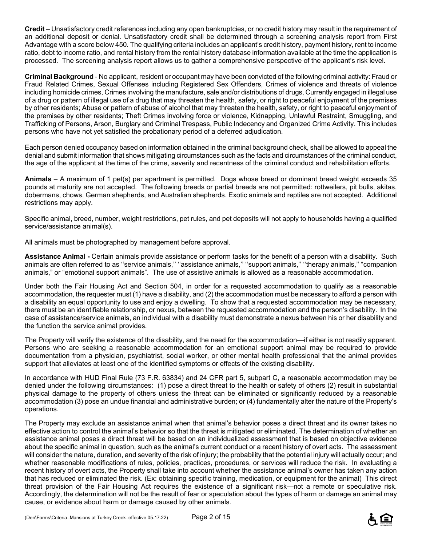**Credit** – Unsatisfactory credit references including any open bankruptcies, or no credit history may result in the requirement of an additional deposit or denial. Unsatisfactory credit shall be determined through a screening analysis report from First Advantage with a score below 450. The qualifying criteria includes an applicant's credit history, payment history, rent to income ratio, debt to income ratio, and rental history from the rental history database information available at the time the application is processed. The screening analysis report allows us to gather a comprehensive perspective of the applicant's risk level.

**Criminal Background** - No applicant, resident or occupant may have been convicted of the following criminal activity: Fraud or Fraud Related Crimes, Sexual Offenses including Registered Sex Offenders, Crimes of violence and threats of violence including homicide crimes, Crimes involving the manufacture, sale and/or distributions of drugs, Currently engaged in illegal use of a drug or pattern of illegal use of a drug that may threaten the health, safety, or right to peaceful enjoyment of the premises by other residents; Abuse or pattern of abuse of alcohol that may threaten the health, safety, or right to peaceful enjoyment of the premises by other residents; Theft Crimes involving force or violence, Kidnapping, Unlawful Restraint, Smuggling, and Trafficking of Persons, Arson, Burglary and Criminal Trespass, Public Indecency and Organized Crime Activity. This includes persons who have not yet satisfied the probationary period of a deferred adjudication.

Each person denied occupancy based on information obtained in the criminal background check, shall be allowed to appeal the denial and submit information that shows mitigating circumstances such as the facts and circumstances of the criminal conduct, the age of the applicant at the time of the crime, severity and recentness of the criminal conduct and rehabilitation efforts.

**Animals** – A maximum of 1 pet(s) per apartment is permitted. Dogs whose breed or dominant breed weight exceeds 35 pounds at maturity are not accepted. The following breeds or partial breeds are not permitted: rottweilers, pit bulls, akitas, dobermans, chows, German shepherds, and Australian shepherds. Exotic animals and reptiles are not accepted. Additional restrictions may apply.

Specific animal, breed, number, weight restrictions, pet rules, and pet deposits will not apply to households having a qualified service/assistance animal(s).

All animals must be photographed by management before approval.

**Assistance Animal -** Certain animals provide assistance or perform tasks for the benefit of a person with a disability. Such animals are often referred to as ''service animals,'' ''assistance animals,'' ''support animals,'' ''therapy animals,'' "companion animals," or "emotional support animals". The use of assistive animals is allowed as a reasonable accommodation.

Under both the Fair Housing Act and Section 504, in order for a requested accommodation to qualify as a reasonable accommodation, the requester must (1) have a disability, and (2) the accommodation must be necessary to afford a person with a disability an equal opportunity to use and enjoy a dwelling. To show that a requested accommodation may be necessary, there must be an identifiable relationship, or nexus, between the requested accommodation and the person's disability. In the case of assistance/service animals, an individual with a disability must demonstrate a nexus between his or her disability and the function the service animal provides.

The Property will verify the existence of the disability, and the need for the accommodation—if either is not readily apparent. Persons who are seeking a reasonable accommodation for an emotional support animal may be required to provide documentation from a physician, psychiatrist, social worker, or other mental health professional that the animal provides support that alleviates at least one of the identified symptoms or effects of the existing disability.

In accordance with HUD Final Rule (73 F.R. 63834) and 24 CFR part 5, subpart C, a reasonable accommodation may be denied under the following circumstances: (1) pose a direct threat to the health or safety of others (2) result in substantial physical damage to the property of others unless the threat can be eliminated or significantly reduced by a reasonable accommodation (3) pose an undue financial and administrative burden; or (4) fundamentally alter the nature of the Property's operations.

The Property may exclude an assistance animal when that animal's behavior poses a direct threat and its owner takes no effective action to control the animal's behavior so that the threat is mitigated or eliminated. The determination of whether an assistance animal poses a direct threat will be based on an individualized assessment that is based on objective evidence about the specific animal in question, such as the animal's current conduct or a recent history of overt acts. The assessment will consider the nature, duration, and severity of the risk of injury; the probability that the potential injury will actually occur; and whether reasonable modifications of rules, policies, practices, procedures, or services will reduce the risk. In evaluating a recent history of overt acts, the Property shall take into account whether the assistance animal's owner has taken any action that has reduced or eliminated the risk. (Ex: obtaining specific training, medication, or equipment for the animal) This direct threat provision of the Fair Housing Act requires the existence of a significant risk—not a remote or speculative risk. Accordingly, the determination will not be the result of fear or speculation about the types of harm or damage an animal may cause, or evidence about harm or damage caused by other animals.

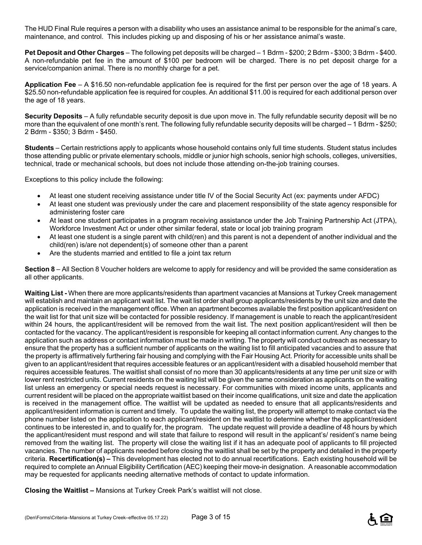The HUD Final Rule requires a person with a disability who uses an assistance animal to be responsible for the animal's care, maintenance, and control. This includes picking up and disposing of his or her assistance animal's waste.

**Pet Deposit and Other Charges** – The following pet deposits will be charged – 1 Bdrm - \$200; 2 Bdrm - \$300; 3 Bdrm - \$400. A non-refundable pet fee in the amount of \$100 per bedroom will be charged. There is no pet deposit charge for a service/companion animal. There is no monthly charge for a pet.

**Application Fee** – A \$16.50 non-refundable application fee is required for the first per person over the age of 18 years. A \$25.50 non-refundable application fee is required for couples. An additional \$11.00 is required for each additional person over the age of 18 years.

**Security Deposits** – A fully refundable security deposit is due upon move in. The fully refundable security deposit will be no more than the equivalent of one month's rent. The following fully refundable security deposits will be charged – 1 Bdrm - \$250; 2 Bdrm - \$350; 3 Bdrm - \$450.

**Students** – Certain restrictions apply to applicants whose household contains only full time students. Student status includes those attending public or private elementary schools, middle or junior high schools, senior high schools, colleges, universities, technical, trade or mechanical schools, but does not include those attending on-the-job training courses.

Exceptions to this policy include the following:

- At least one student receiving assistance under title IV of the Social Security Act (ex: payments under AFDC)
- At least one student was previously under the care and placement responsibility of the state agency responsible for administering foster care
- At least one student participates in a program receiving assistance under the Job Training Partnership Act (JTPA), Workforce Investment Act or under other similar federal, state or local job training program
- At least one student is a single parent with child(ren) and this parent is not a dependent of another individual and the child(ren) is/are not dependent(s) of someone other than a parent
- Are the students married and entitled to file a joint tax return

**Section 8** – All Section 8 Voucher holders are welcome to apply for residency and will be provided the same consideration as all other applicants.

**Waiting List -** When there are more applicants/residents than apartment vacancies at Mansions at Turkey Creek management will establish and maintain an applicant wait list. The wait list order shall group applicants/residents by the unit size and date the application is received in the management office. When an apartment becomes available the first position applicant/resident on the wait list for that unit size will be contacted for possible residency. If management is unable to reach the applicant/resident within 24 hours, the applicant/resident will be removed from the wait list. The next position applicant/resident will then be contacted for the vacancy. The applicant/resident is responsible for keeping all contact information current. Any changes to the application such as address or contact information must be made in writing. The property will conduct outreach as necessary to ensure that the property has a sufficient number of applicants on the waiting list to fill anticipated vacancies and to assure that the property is affirmatively furthering fair housing and complying with the Fair Housing Act. Priority for accessible units shall be given to an applicant/resident that requires accessible features or an applicant/resident with a disabled household member that requires accessible features. The waitlist shall consist of no more than 30 applicants/residents at any time per unit size or with lower rent restricted units. Current residents on the waiting list will be given the same consideration as applicants on the waiting list unless an emergency or special needs request is necessary. For communities with mixed income units, applicants and current resident will be placed on the appropriate waitlist based on their income qualifications, unit size and date the application is received in the management office. The waitlist will be updated as needed to ensure that all applicants/residents and applicant/resident information is current and timely. To update the waiting list, the property will attempt to make contact via the phone number listed on the application to each applicant/resident on the waitlist to determine whether the applicant/resident continues to be interested in, and to qualify for, the program. The update request will provide a deadline of 48 hours by which the applicant/resident must respond and will state that failure to respond will result in the applicant's/ resident's name being removed from the waiting list. The property will close the waiting list if it has an adequate pool of applicants to fill projected vacancies. The number of applicants needed before closing the waitlist shall be set by the property and detailed in the property criteria. **Recertification(s) –** This development has elected not to do annual recertifications. Each existing household will be required to complete an Annual Eligibility Certification (AEC) keeping their move-in designation. A reasonable accommodation may be requested for applicants needing alternative methods of contact to update information.

**Closing the Waitlist –** Mansions at Turkey Creek Park's waitlist will not close.

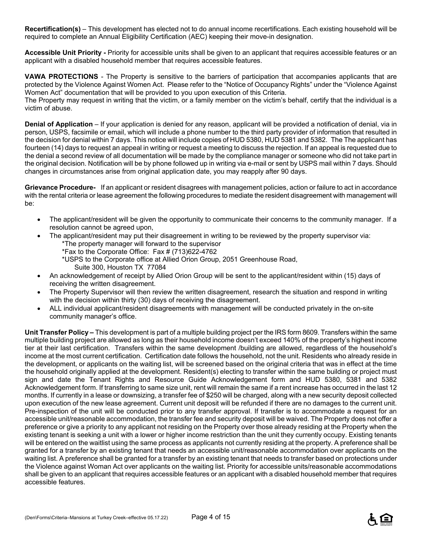**Recertification(s)** – This development has elected not to do annual income recertifications. Each existing household will be required to complete an Annual Eligibility Certification (AEC) keeping their move-in designation.

**Accessible Unit Priority -** Priority for accessible units shall be given to an applicant that requires accessible features or an applicant with a disabled household member that requires accessible features.

**VAWA PROTECTIONS** - The Property is sensitive to the barriers of participation that accompanies applicants that are protected by the Violence Against Women Act. Please refer to the "Notice of Occupancy Rights" under the "Violence Against Women Act" documentation that will be provided to you upon execution of this Criteria.

The Property may request in writing that the victim, or a family member on the victim's behalf, certify that the individual is a victim of abuse.

**Denial of Application** – If your application is denied for any reason, applicant will be provided a notification of denial, via in person, USPS, facsimile or email, which will include a phone number to the third party provider of information that resulted in the decision for denial within 7 days. This notice will include copies of HUD 5380, HUD 5381 and 5382. The The applicant has fourteen (14) days to request an appeal in writing or request a meeting to discuss the rejection. If an appeal is requested due to the denial a second review of all documentation will be made by the compliance manager or someone who did not take part in the original decision. Notification will be by phone followed up in writing via e-mail or sent by USPS mail within 7 days. Should changes in circumstances arise from original application date, you may reapply after 90 days.

**Grievance Procedure-** If an applicant or resident disagrees with management policies, action or failure to act in accordance with the rental criteria or lease agreement the following procedures to mediate the resident disagreement with management will be:

- The applicant/resident will be given the opportunity to communicate their concerns to the community manager. If a resolution cannot be agreed upon,
- The applicant/resident may put their disagreement in writing to be reviewed by the property supervisor via:
	- \*The property manager will forward to the supervisor
	- \*Fax to the Corporate Office: Fax # (713)622-4762
	- \*USPS to the Corporate office at Allied Orion Group, 2051 Greenhouse Road, Suite 300, Houston TX 77084
- An acknowledgement of receipt by Allied Orion Group will be sent to the applicant/resident within (15) days of receiving the written disagreement.
- The Property Supervisor will then review the written disagreement, research the situation and respond in writing with the decision within thirty (30) days of receiving the disagreement.
- ALL individual applicant/resident disagreements with management will be conducted privately in the on-site community manager's office.

**Unit Transfer Policy –** This development is part of a multiple building project per the IRS form 8609. Transfers within the same multiple building project are allowed as long as their household income doesn't exceed 140% of the property's highest income tier at their last certification. Transfers within the same development /building are allowed, regardless of the household's income at the most current certification. Certification date follows the household, not the unit. Residents who already reside in the development, or applicants on the waiting list, will be screened based on the original criteria that was in effect at the time the household originally applied at the development. Resident(s) electing to transfer within the same building or project must sign and date the Tenant Rights and Resource Guide Acknowledgement form and HUD 5380, 5381 and 5382 Acknowledgement form. If transferring to same size unit, rent will remain the same if a rent increase has occurred in the last 12 months. If currently in a lease or downsizing, a transfer fee of \$250 will be charged, along with a new security deposit collected upon execution of the new lease agreement. Current unit deposit will be refunded if there are no damages to the current unit. Pre-inspection of the unit will be conducted prior to any transfer approval. If transfer is to accommodate a request for an accessible unit/reasonable accommodation, the transfer fee and security deposit will be waived. The Property does not offer a preference or give a priority to any applicant not residing on the Property over those already residing at the Property when the existing tenant is seeking a unit with a lower or higher income restriction than the unit they currently occupy. Existing tenants will be entered on the waitlist using the same process as applicants not currently residing at the property. A preference shall be granted for a transfer by an existing tenant that needs an accessible unit/reasonable accommodation over applicants on the waiting list. A preference shall be granted for a transfer by an existing tenant that needs to transfer based on protections under the Violence against Woman Act over applicants on the waiting list. Priority for accessible units/reasonable accommodations shall be given to an applicant that requires accessible features or an applicant with a disabled household member that requires accessible features.

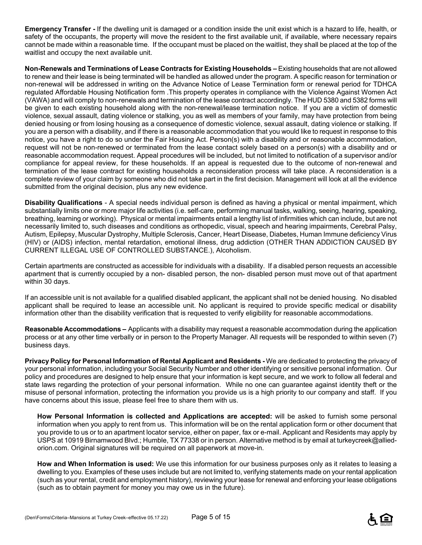**Emergency Transfer -** If the dwelling unit is damaged or a condition inside the unit exist which is a hazard to life, health, or safety of the occupants, the property will move the resident to the first available unit, if available, where necessary repairs cannot be made within a reasonable time. If the occupant must be placed on the waitlist, they shall be placed at the top of the waitlist and occupy the next available unit.

**Non-Renewals and Terminations of Lease Contracts for Existing Households –** Existing households that are not allowed to renew and their lease is being terminated will be handled as allowed under the program. A specific reason for termination or non-renewal will be addressed in writing on the Advance Notice of Lease Termination form or renewal period for TDHCA regulated Affordable Housing Notification form .This property operates in compliance with the Violence Against Women Act (VAWA) and will comply to non-renewals and termination of the lease contract accordingly. The HUD 5380 and 5382 forms will be given to each existing household along with the non-renewal/lease termination notice. If you are a victim of domestic violence, sexual assault, dating violence or stalking, you as well as members of your family, may have protection from being denied housing or from losing housing as a consequence of domestic violence, sexual assault, dating violence or stalking. If you are a person with a disability, and if there is a reasonable accommodation that you would like to request in response to this notice, you have a right to do so under the Fair Housing Act. Person(s) with a disability and or reasonable accommodation, request will not be non-renewed or terminated from the lease contact solely based on a person(s) with a disability and or reasonable accommodation request. Appeal procedures will be included, but not limited to notification of a supervisor and/or compliance for appeal review, for these households. If an appeal is requested due to the outcome of non-renewal and termination of the lease contract for existing households a reconsideration process will take place. A reconsideration is a complete review of your claim by someone who did not take part in the first decision. Management will look at all the evidence submitted from the original decision, plus any new evidence.

**Disability Qualifications** - A special needs individual person is defined as having a physical or mental impairment, which substantially limits one or more major life activities (i.e. self-care, performing manual tasks, walking, seeing, hearing, speaking, breathing, learning or working). Physical or mental impairments entail a lengthy list of infirmities which can include, but are not necessarily limited to, such diseases and conditions as orthopedic, visual, speech and hearing impairments, Cerebral Palsy, Autism, Epilepsy, Muscular Dystrophy, Multiple Sclerosis, Cancer, Heart Disease, Diabetes, Human Immune deficiency Virus (HIV) or (AIDS) infection, mental retardation, emotional illness, drug addiction (OTHER THAN ADDICTION CAUSED BY CURRENT ILLEGAL USE OF CONTROLLED SUBSTANCE.), Alcoholism.

Certain apartments are constructed as accessible for individuals with a disability. If a disabled person requests an accessible apartment that is currently occupied by a non- disabled person, the non- disabled person must move out of that apartment within 30 days.

If an accessible unit is not available for a qualified disabled applicant, the applicant shall not be denied housing. No disabled applicant shall be required to lease an accessible unit. No applicant is required to provide specific medical or disability information other than the disability verification that is requested to verify eligibility for reasonable accommodations.

**Reasonable Accommodations –** Applicants with a disability may request a reasonable accommodation during the application process or at any other time verbally or in person to the Property Manager. All requests will be responded to within seven (7) business days.

**Privacy Policy for Personal Information of Rental Applicant and Residents -** We are dedicated to protecting the privacy of your personal information, including your Social Security Number and other identifying or sensitive personal information. Our policy and procedures are designed to help ensure that your information is kept secure, and we work to follow all federal and state laws regarding the protection of your personal information. While no one can guarantee against identity theft or the misuse of personal information, protecting the information you provide us is a high priority to our company and staff. If you have concerns about this issue, please feel free to share them with us.

**How Personal Information is collected and Applications are accepted:** will be asked to furnish some personal information when you apply to rent from us. This information will be on the rental application form or other document that you provide to us or to an apartment locator service, either on paper, fax or e-mail. Applicant and Residents may apply by USPS at 10919 Birnamwood Blvd.; Humble, TX 77338 or in person. Alternative method is by email at turkeycreek@alliedorion.com. Original signatures will be required on all paperwork at move-in.

**How and When Information is used:** We use this information for our business purposes only as it relates to leasing a dwelling to you. Examples of these uses include but are not limited to, verifying statements made on your rental application (such as your rental, credit and employment history), reviewing your lease for renewal and enforcing your lease obligations (such as to obtain payment for money you may owe us in the future).

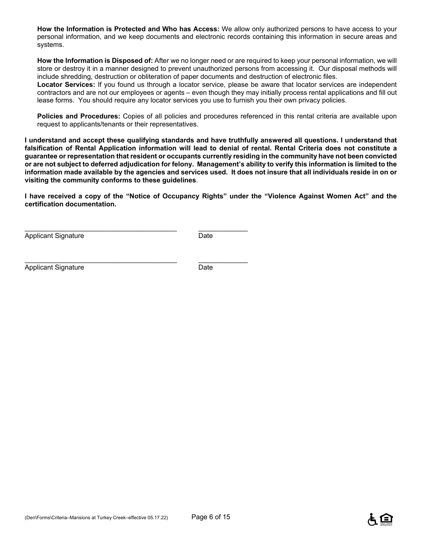**How the Information is Protected and Who has Access:** We allow only authorized persons to have access to your personal information, and we keep documents and electronic records containing this information in secure areas and systems.

**How the Information is Disposed of:** After we no longer need or are required to keep your personal information, we will store or destroy it in a manner designed to prevent unauthorized persons from accessing it. Our disposal methods will include shredding, destruction or obliteration of paper documents and destruction of electronic files.

**Locator Services:** If you found us through a locator service, please be aware that locator services are independent contractors and are not our employees or agents – even though they may initially process rental applications and fill out lease forms. You should require any locator services you use to furnish you their own privacy policies.

**Policies and Procedures:** Copies of all policies and procedures referenced in this rental criteria are available upon request to applicants/tenants or their representatives.

**I understand and accept these qualifying standards and have truthfully answered all questions. I understand that falsification of Rental Application information will lead to denial of rental. Rental Criteria does not constitute a guarantee or representation that resident or occupants currently residing in the community have not been convicted or are not subject to deferred adjudication for felony. Management's ability to verify this information is limited to the information made available by the agencies and services used. It does not insure that all individuals reside in on or visiting the community conforms to these guidelines**.

**I have received a copy of the "Notice of Occupancy Rights" under the "Violence Against Women Act" and the certification documentation.** 

Applicant Signature Date

Applicant Signature Date

\_\_\_\_\_\_\_\_\_\_\_\_\_\_\_\_\_\_\_\_\_\_\_\_\_\_\_\_\_\_\_\_\_\_\_\_\_\_\_\_ \_\_\_\_\_\_\_\_\_\_\_\_\_

\_\_\_\_\_\_\_\_\_\_\_\_\_\_\_\_\_\_\_\_\_\_\_\_\_\_\_\_\_\_\_\_\_\_\_\_\_\_\_\_ \_\_\_\_\_\_\_\_\_\_\_\_\_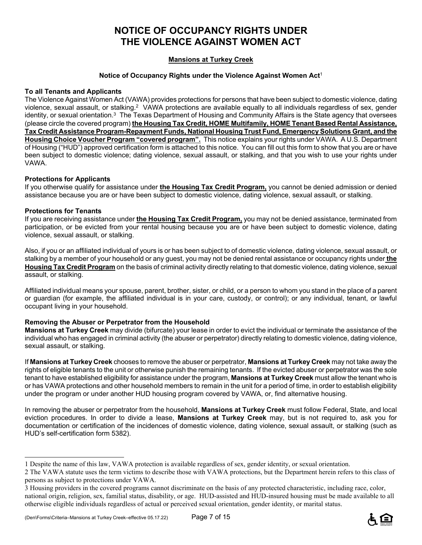## **NOTICE OF OCCUPANCY RIGHTS UNDER THE VIOLENCE AGAINST WOMEN ACT**

### **Mansions at Turkey Creek**

#### **Notice of Occupancy Rights under the Violence Against Women Act**<sup>1</sup>

#### **To all Tenants and Applicants**

The Violence Against Women Act (VAWA) provides protections for persons that have been subject to domestic violence, dating violence, sexual assault, or stalking.2 VAWA protections are available equally to all individuals regardless of sex, gender identity, or sexual orientation.<sup>3</sup> The Texas Department of Housing and Community Affairs is the State agency that oversees (please circle the covered program) **the Housing Tax Credit, HOME Multifamily, HOME Tenant Based Rental Assistance, Tax Credit Assistance Program-Repayment Funds, National Housing Trust Fund, Emergency Solutions Grant, and the Housing Choice Voucher Program "covered program".** This notice explains your rights under VAWA. A U.S. Department of Housing ("HUD") approved certification form is attached to this notice. You can fill out this form to show that you are or have been subject to domestic violence; dating violence, sexual assault, or stalking, and that you wish to use your rights under VAWA.

#### **Protections for Applicants**

If you otherwise qualify for assistance under **the Housing Tax Credit Program,** you cannot be denied admission or denied assistance because you are or have been subject to domestic violence, dating violence, sexual assault, or stalking.

#### **Protections for Tenants**

i<br>L

If you are receiving assistance under **the Housing Tax Credit Program,** you may not be denied assistance, terminated from participation, or be evicted from your rental housing because you are or have been subject to domestic violence, dating violence, sexual assault, or stalking.

Also, if you or an affiliated individual of yours is or has been subject to of domestic violence, dating violence, sexual assault, or stalking by a member of your household or any guest, you may not be denied rental assistance or occupancy rights under **the Housing Tax Credit Program** on the basis of criminal activity directly relating to that domestic violence, dating violence, sexual assault, or stalking.

Affiliated individual means your spouse, parent, brother, sister, or child, or a person to whom you stand in the place of a parent or guardian (for example, the affiliated individual is in your care, custody, or control); or any individual, tenant, or lawful occupant living in your household.

#### **Removing the Abuser or Perpetrator from the Household**

**Mansions at Turkey Creek** may divide (bifurcate) your lease in order to evict the individual or terminate the assistance of the individual who has engaged in criminal activity (the abuser or perpetrator) directly relating to domestic violence, dating violence, sexual assault, or stalking.

If **Mansions at Turkey Creek** chooses to remove the abuser or perpetrator, **Mansions at Turkey Creek** may not take away the rights of eligible tenants to the unit or otherwise punish the remaining tenants. If the evicted abuser or perpetrator was the sole tenant to have established eligibility for assistance under the program, **Mansions at Turkey Creek** must allow the tenant who is or has VAWA protections and other household members to remain in the unit for a period of time, in order to establish eligibility under the program or under another HUD housing program covered by VAWA, or, find alternative housing.

In removing the abuser or perpetrator from the household, **Mansions at Turkey Creek** must follow Federal, State, and local eviction procedures. In order to divide a lease, **Mansions at Turkey Creek** may, but is not required to, ask you for documentation or certification of the incidences of domestic violence, dating violence, sexual assault, or stalking (such as HUD's self-certification form 5382).



<sup>1</sup> Despite the name of this law, VAWA protection is available regardless of sex, gender identity, or sexual orientation.

<sup>2</sup> The VAWA statute uses the term victims to describe those with VAWA protections, but the Department herein refers to this class of persons as subject to protections under VAWA.

<sup>3</sup> Housing providers in the covered programs cannot discriminate on the basis of any protected characteristic, including race, color, national origin, religion, sex, familial status, disability, or age. HUD-assisted and HUD-insured housing must be made available to all otherwise eligible individuals regardless of actual or perceived sexual orientation, gender identity, or marital status.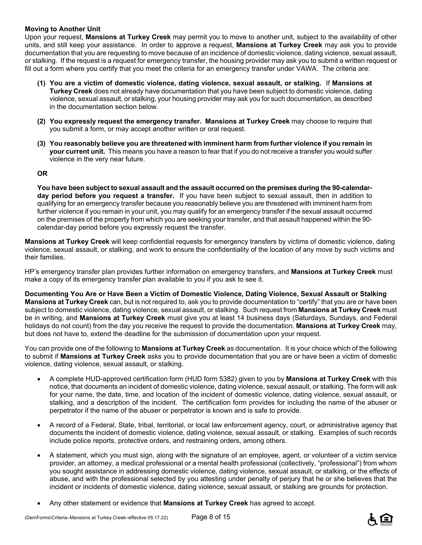#### **Moving to Another Unit**

Upon your request, **Mansions at Turkey Creek** may permit you to move to another unit, subject to the availability of other units, and still keep your assistance. In order to approve a request, **Mansions at Turkey Creek** may ask you to provide documentation that you are requesting to move because of an incidence of domestic violence, dating violence, sexual assault, or stalking. If the request is a request for emergency transfer, the housing provider may ask you to submit a written request or fill out a form where you certify that you meet the criteria for an emergency transfer under VAWA. The criteria are:

- **(1) You are a victim of domestic violence, dating violence, sexual assault, or stalking.** If **Mansions at Turkey Creek** does not already have documentation that you have been subject to domestic violence, dating violence, sexual assault, or stalking, your housing provider may ask you for such documentation, as described in the documentation section below.
- **(2) You expressly request the emergency transfer. Mansions at Turkey Creek** may choose to require that you submit a form, or may accept another written or oral request.
- **(3) You reasonably believe you are threatened with imminent harm from further violence if you remain in your current unit.** This means you have a reason to fear that if you do not receive a transfer you would suffer violence in the very near future.

#### **OR**

**You have been subject to sexual assault and the assault occurred on the premises during the 90-calendarday period before you request a transfer.** If you have been subject to sexual assault, then in addition to qualifying for an emergency transfer because you reasonably believe you are threatened with imminent harm from further violence if you remain in your unit, you may qualify for an emergency transfer if the sexual assault occurred on the premises of the property from which you are seeking your transfer, and that assault happened within the 90 calendar-day period before you expressly request the transfer.

**Mansions at Turkey Creek** will keep confidential requests for emergency transfers by victims of domestic violence, dating violence, sexual assault, or stalking, and work to ensure the confidentiality of the location of any move by such victims and their families.

HP's emergency transfer plan provides further information on emergency transfers, and **Mansions at Turkey Creek** must make a copy of its emergency transfer plan available to you if you ask to see it.

**Documenting You Are or Have Been a Victim of Domestic Violence, Dating Violence, Sexual Assault or Stalking Mansions at Turkey Creek** can, but is not required to, ask you to provide documentation to "certify" that you are or have been subject to domestic violence, dating violence, sexual assault, or stalking. Such request from **Mansions at Turkey Creek** must be in writing, and **Mansions at Turkey Creek** must give you at least 14 business days (Saturdays, Sundays, and Federal holidays do not count) from the day you receive the request to provide the documentation. **Mansions at Turkey Creek** may, but does not have to, extend the deadline for the submission of documentation upon your request.

You can provide one of the following to **Mansions at Turkey Creek** as documentation. It is your choice which of the following to submit if **Mansions at Turkey Creek** asks you to provide documentation that you are or have been a victim of domestic violence, dating violence, sexual assault, or stalking.

- A complete HUD-approved certification form (HUD form 5382) given to you by **Mansions at Turkey Creek** with this notice, that documents an incident of domestic violence, dating violence, sexual assault, or stalking. The form will ask for your name, the date, time, and location of the incident of domestic violence, dating violence, sexual assault, or stalking, and a description of the incident. The certification form provides for including the name of the abuser or perpetrator if the name of the abuser or perpetrator is known and is safe to provide.
- A record of a Federal, State, tribal, territorial, or local law enforcement agency, court, or administrative agency that documents the incident of domestic violence, dating violence, sexual assault, or stalking. Examples of such records include police reports, protective orders, and restraining orders, among others.
- A statement, which you must sign, along with the signature of an employee, agent, or volunteer of a victim service provider, an attorney, a medical professional or a mental health professional (collectively, "professional") from whom you sought assistance in addressing domestic violence, dating violence, sexual assault, or stalking, or the effects of abuse, and with the professional selected by you attesting under penalty of perjury that he or she believes that the incident or incidents of domestic violence, dating violence, sexual assault, or stalking are grounds for protection.
- Any other statement or evidence that **Mansions at Turkey Creek** has agreed to accept.

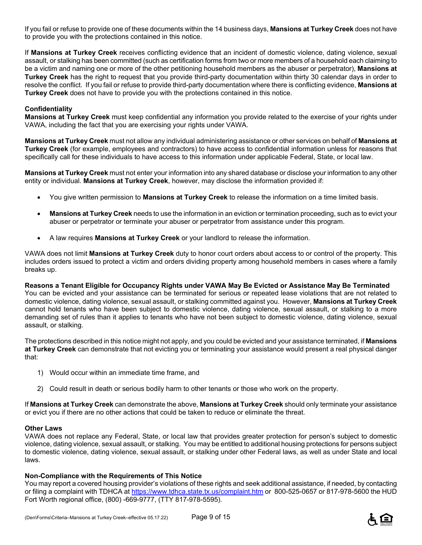If you fail or refuse to provide one of these documents within the 14 business days, **Mansions at Turkey Creek** does not have to provide you with the protections contained in this notice.

If **Mansions at Turkey Creek** receives conflicting evidence that an incident of domestic violence, dating violence, sexual assault, or stalking has been committed (such as certification forms from two or more members of a household each claiming to be a victim and naming one or more of the other petitioning household members as the abuser or perpetrator), **Mansions at Turkey Creek** has the right to request that you provide third-party documentation within thirty 30 calendar days in order to resolve the conflict. If you fail or refuse to provide third-party documentation where there is conflicting evidence, **Mansions at Turkey Creek** does not have to provide you with the protections contained in this notice.

#### **Confidentiality**

**Mansions at Turkey Creek** must keep confidential any information you provide related to the exercise of your rights under VAWA, including the fact that you are exercising your rights under VAWA.

**Mansions at Turkey Creek** must not allow any individual administering assistance or other services on behalf of **Mansions at Turkey Creek** (for example, employees and contractors) to have access to confidential information unless for reasons that specifically call for these individuals to have access to this information under applicable Federal, State, or local law.

**Mansions at Turkey Creek** must not enter your information into any shared database or disclose your information to any other entity or individual. **Mansions at Turkey Creek**, however, may disclose the information provided if:

- You give written permission to **Mansions at Turkey Creek** to release the information on a time limited basis.
- **Mansions at Turkey Creek** needs to use the information in an eviction or termination proceeding, such as to evict your abuser or perpetrator or terminate your abuser or perpetrator from assistance under this program.
- A law requires **Mansions at Turkey Creek** or your landlord to release the information.

VAWA does not limit **Mansions at Turkey Creek** duty to honor court orders about access to or control of the property. This includes orders issued to protect a victim and orders dividing property among household members in cases where a family breaks up.

**Reasons a Tenant Eligible for Occupancy Rights under VAWA May Be Evicted or Assistance May Be Terminated**  You can be evicted and your assistance can be terminated for serious or repeated lease violations that are not related to domestic violence, dating violence, sexual assault, or stalking committed against you. However, **Mansions at Turkey Creek** cannot hold tenants who have been subject to domestic violence, dating violence, sexual assault, or stalking to a more demanding set of rules than it applies to tenants who have not been subject to domestic violence, dating violence, sexual assault, or stalking.

The protections described in this notice might not apply, and you could be evicted and your assistance terminated, if **Mansions at Turkey Creek** can demonstrate that not evicting you or terminating your assistance would present a real physical danger that:

- 1) Would occur within an immediate time frame, and
- 2) Could result in death or serious bodily harm to other tenants or those who work on the property.

If **Mansions at Turkey Creek** can demonstrate the above, **Mansions at Turkey Creek** should only terminate your assistance or evict you if there are no other actions that could be taken to reduce or eliminate the threat.

#### **Other Laws**

VAWA does not replace any Federal, State, or local law that provides greater protection for person's subject to domestic violence, dating violence, sexual assault, or stalking. You may be entitled to additional housing protections for persons subject to domestic violence, dating violence, sexual assault, or stalking under other Federal laws, as well as under State and local laws.

#### **Non-Compliance with the Requirements of This Notice**

You may report a covered housing provider's violations of these rights and seek additional assistance, if needed, by contacting or filing a complaint with TDHCA at https://www.tdhca.state.tx.us/complaint.htm or 800-525-0657 or 817-978-5600 the HUD Fort Worth regional office, (800) -669-9777, (TTY 817-978-5595).

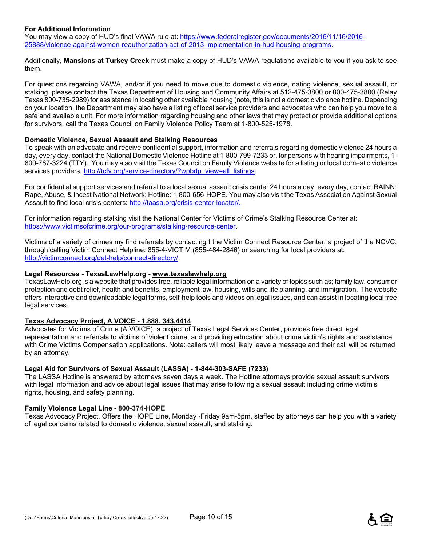#### **For Additional Information**

You may view a copy of HUD's final VAWA rule at: https://www.federalregister.gov/documents/2016/11/16/2016-25888/violence-against-women-reauthorization-act-of-2013-implementation-in-hud-housing-programs.

Additionally, **Mansions at Turkey Creek** must make a copy of HUD's VAWA regulations available to you if you ask to see them.

For questions regarding VAWA, and/or if you need to move due to domestic violence, dating violence, sexual assault, or stalking please contact the Texas Department of Housing and Community Affairs at 512-475-3800 or 800-475-3800 (Relay Texas 800-735-2989) for assistance in locating other available housing (note, this is not a domestic violence hotline. Depending on your location, the Department may also have a listing of local service providers and advocates who can help you move to a safe and available unit. For more information regarding housing and other laws that may protect or provide additional options for survivors, call the Texas Council on Family Violence Policy Team at 1-800-525-1978.

#### **Domestic Violence, Sexual Assault and Stalking Resources**

To speak with an advocate and receive confidential support, information and referrals regarding domestic violence 24 hours a day, every day, contact the National Domestic Violence Hotline at 1-800-799-7233 or, for persons with hearing impairments, 1- 800-787-3224 (TTY). You may also visit the Texas Council on Family Violence website for a listing or local domestic violence services providers: http://tcfv.org/service-directory/?wpbdp\_view=all\_listings.

For confidential support services and referral to a local sexual assault crisis center 24 hours a day, every day, contact RAINN: Rape, Abuse, & Incest National Network: Hotline: 1-800-656-HOPE. You may also visit the Texas Association Against Sexual Assault to find local crisis centers: http://taasa.org/crisis-center-locator/.

For information regarding stalking visit the National Center for Victims of Crime's Stalking Resource Center at: https://www.victimsofcrime.org/our-programs/stalking-resource-center.

Victims of a variety of crimes my find referrals by contacting t the Victim Connect Resource Center, a project of the NCVC, through calling Victim Connect Helpline: 855-4-VICTIM (855-484-2846) or searching for local providers at: http://victimconnect.org/get-help/connect-directory/.

#### **Legal Resources - TexasLawHelp.org - www.texaslawhelp.org**

TexasLawHelp.org is a website that provides free, reliable legal information on a variety of topics such as; family law, consumer protection and debt relief, health and benefits, employment law, housing, wills and life planning, and immigration. The website offers interactive and downloadable legal forms, self-help tools and videos on legal issues, and can assist in locating local free legal services.

#### **Texas Advocacy Project, A VOICE - 1.888. 343.4414**

Advocates for Victims of Crime (A VOICE), a project of Texas Legal Services Center, provides free direct legal representation and referrals to victims of violent crime, and providing education about crime victim's rights and assistance with Crime Victims Compensation applications. Note: callers will most likely leave a message and their call will be returned by an attorney.

#### **Legal Aid for Survivors of Sexual Assault (LASSA)** - **1-844-303-SAFE (7233)**

The LASSA Hotline is answered by attorneys seven days a week. The Hotline attorneys provide sexual assault survivors with legal information and advice about legal issues that may arise following a sexual assault including crime victim's rights, housing, and safety planning.

#### **Family Violence Legal Line - 800-374-HOPE**

Texas Advocacy Project. Offers the HOPE Line, Monday -Friday 9am-5pm, staffed by attorneys can help you with a variety of legal concerns related to domestic violence, sexual assault, and stalking.

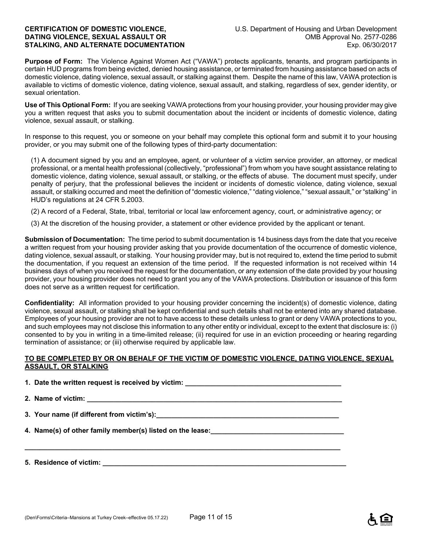**Purpose of Form:** The Violence Against Women Act ("VAWA") protects applicants, tenants, and program participants in certain HUD programs from being evicted, denied housing assistance, or terminated from housing assistance based on acts of domestic violence, dating violence, sexual assault, or stalking against them. Despite the name of this law, VAWA protection is available to victims of domestic violence, dating violence, sexual assault, and stalking, regardless of sex, gender identity, or sexual orientation.

**Use of This Optional Form:** If you are seeking VAWA protections from your housing provider, your housing provider may give you a written request that asks you to submit documentation about the incident or incidents of domestic violence, dating violence, sexual assault, or stalking.

In response to this request, you or someone on your behalf may complete this optional form and submit it to your housing provider, or you may submit one of the following types of third-party documentation:

(1) A document signed by you and an employee, agent, or volunteer of a victim service provider, an attorney, or medical professional, or a mental health professional (collectively, "professional") from whom you have sought assistance relating to domestic violence, dating violence, sexual assault, or stalking, or the effects of abuse. The document must specify, under penalty of perjury, that the professional believes the incident or incidents of domestic violence, dating violence, sexual assault, or stalking occurred and meet the definition of "domestic violence," "dating violence," "sexual assault," or "stalking" in HUD's regulations at 24 CFR 5.2003.

(2) A record of a Federal, State, tribal, territorial or local law enforcement agency, court, or administrative agency; or

(3) At the discretion of the housing provider, a statement or other evidence provided by the applicant or tenant.

**Submission of Documentation:** The time period to submit documentation is 14 business days from the date that you receive a written request from your housing provider asking that you provide documentation of the occurrence of domestic violence, dating violence, sexual assault, or stalking. Your housing provider may, but is not required to, extend the time period to submit the documentation, if you request an extension of the time period. If the requested information is not received within 14 business days of when you received the request for the documentation, or any extension of the date provided by your housing provider, your housing provider does not need to grant you any of the VAWA protections. Distribution or issuance of this form does not serve as a written request for certification.

**Confidentiality:** All information provided to your housing provider concerning the incident(s) of domestic violence, dating violence, sexual assault, or stalking shall be kept confidential and such details shall not be entered into any shared database. Employees of your housing provider are not to have access to these details unless to grant or deny VAWA protections to you, and such employees may not disclose this information to any other entity or individual, except to the extent that disclosure is: (i) consented to by you in writing in a time-limited release; (ii) required for use in an eviction proceeding or hearing regarding termination of assistance; or (iii) otherwise required by applicable law.

#### **TO BE COMPLETED BY OR ON BEHALF OF THE VICTIM OF DOMESTIC VIOLENCE, DATING VIOLENCE, SEXUAL ASSAULT, OR STALKING**

**1. Date the written request is received by victim: \_\_\_\_\_\_\_\_\_\_\_\_\_\_\_\_\_\_\_\_\_\_\_\_\_\_\_\_** 

2. Name of victim:

**\_\_\_\_\_\_\_\_\_\_\_\_\_\_\_\_\_\_\_\_\_\_\_\_\_\_\_\_\_\_\_\_\_\_\_\_\_\_\_\_\_\_\_\_\_\_\_\_\_\_\_\_\_\_\_\_\_\_\_\_\_\_\_\_\_\_\_\_\_\_\_\_\_\_\_\_\_\_\_\_\_\_\_** 

**3. Your name (if different from victim's):\_\_\_\_\_\_\_\_\_\_\_\_\_\_\_\_\_\_\_\_\_\_\_\_\_\_\_\_\_\_\_\_\_\_\_\_\_\_\_\_\_\_\_\_\_\_\_\_** 

**4. Name(s) of other family member(s) listed on the lease:** 

**5. Residence of victim: \_\_\_\_\_\_\_\_\_\_\_\_\_\_\_\_\_\_\_\_\_\_\_\_\_\_\_\_\_\_\_\_\_\_\_\_\_\_\_\_\_\_\_\_\_\_\_\_\_\_\_\_\_\_\_\_\_\_\_\_\_\_\_\_**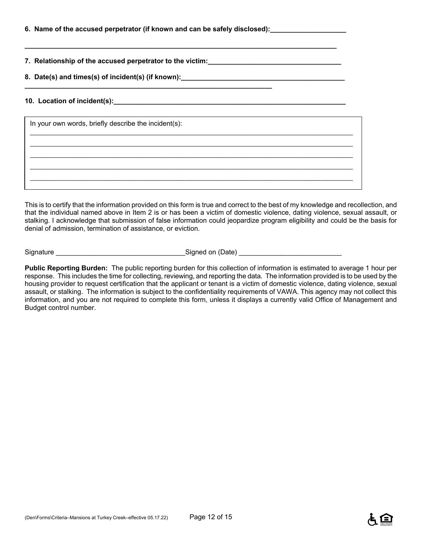| 6. Name of the accused perpetrator (if known and can be safely disclosed):_ |  |  |
|-----------------------------------------------------------------------------|--|--|
|                                                                             |  |  |

**7. Relationship of the accused perpetrator to the victim:\_\_\_\_\_\_\_\_\_\_\_\_\_\_\_\_\_\_\_\_\_\_\_\_\_\_\_\_\_\_\_\_\_\_\_** 

**8. Date(s) and times(s) of incident(s) (if known):\_\_\_\_\_\_\_\_\_\_\_\_\_\_\_\_\_\_\_\_\_\_\_\_\_\_\_\_\_\_\_\_\_\_\_\_\_\_\_\_\_\_\_ \_\_\_\_\_\_\_\_\_\_\_\_\_\_\_\_\_\_\_\_\_\_\_\_\_\_\_\_\_\_\_\_\_\_\_\_\_\_\_\_\_\_\_\_\_\_\_\_\_\_\_\_\_\_\_\_\_\_\_\_\_\_\_\_\_** 

**\_\_\_\_\_\_\_\_\_\_\_\_\_\_\_\_\_\_\_\_\_\_\_\_\_\_\_\_\_\_\_\_\_\_\_\_\_\_\_\_\_\_\_\_\_\_\_\_\_\_\_\_\_\_\_\_\_\_\_\_\_\_\_\_\_\_\_\_\_\_\_\_\_\_\_\_\_\_\_\_\_\_** 

#### **10. Location of incident(s): with a set of incident of**  $\mathbf{S}$

| In your own words, briefly describe the incident(s): |  |  |  |  |
|------------------------------------------------------|--|--|--|--|
|                                                      |  |  |  |  |
|                                                      |  |  |  |  |
|                                                      |  |  |  |  |
|                                                      |  |  |  |  |

This is to certify that the information provided on this form is true and correct to the best of my knowledge and recollection, and that the individual named above in Item 2 is or has been a victim of domestic violence, dating violence, sexual assault, or stalking. I acknowledge that submission of false information could jeopardize program eligibility and could be the basis for denial of admission, termination of assistance, or eviction.

Signature \_\_\_\_\_\_\_\_\_\_\_\_\_\_\_\_\_\_\_\_\_\_\_\_\_\_\_\_\_\_\_\_\_\_Signed on (Date) \_\_\_\_\_\_\_\_\_\_\_\_\_\_\_\_\_\_\_\_\_\_\_\_\_\_\_

**Public Reporting Burden:** The public reporting burden for this collection of information is estimated to average 1 hour per response. This includes the time for collecting, reviewing, and reporting the data. The information provided is to be used by the housing provider to request certification that the applicant or tenant is a victim of domestic violence, dating violence, sexual assault, or stalking. The information is subject to the confidentiality requirements of VAWA. This agency may not collect this information, and you are not required to complete this form, unless it displays a currently valid Office of Management and Budget control number.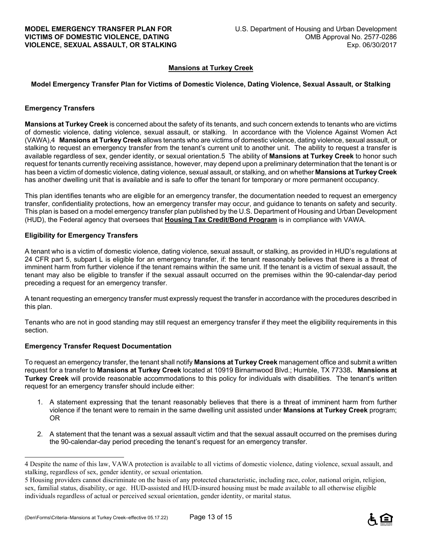#### **Mansions at Turkey Creek**

#### **Model Emergency Transfer Plan for Victims of Domestic Violence, Dating Violence, Sexual Assault, or Stalking**

#### **Emergency Transfers**

**Mansions at Turkey Creek** is concerned about the safety of its tenants, and such concern extends to tenants who are victims of domestic violence, dating violence, sexual assault, or stalking. In accordance with the Violence Against Women Act (VAWA),4 **Mansions at Turkey Creek** allows tenants who are victims of domestic violence, dating violence, sexual assault, or stalking to request an emergency transfer from the tenant's current unit to another unit. The ability to request a transfer is available regardless of sex, gender identity, or sexual orientation.5 The ability of **Mansions at Turkey Creek** to honor such request for tenants currently receiving assistance, however, may depend upon a preliminary determination that the tenant is or has been a victim of domestic violence, dating violence, sexual assault, or stalking, and on whether **Mansions at Turkey Creek** has another dwelling unit that is available and is safe to offer the tenant for temporary or more permanent occupancy.

This plan identifies tenants who are eligible for an emergency transfer, the documentation needed to request an emergency transfer, confidentiality protections, how an emergency transfer may occur, and guidance to tenants on safety and security. This plan is based on a model emergency transfer plan published by the U.S. Department of Housing and Urban Development (HUD), the Federal agency that oversees that **Housing Tax Credit/Bond Program** is in compliance with VAWA.

#### **Eligibility for Emergency Transfers**

A tenant who is a victim of domestic violence, dating violence, sexual assault, or stalking, as provided in HUD's regulations at 24 CFR part 5, subpart L is eligible for an emergency transfer, if: the tenant reasonably believes that there is a threat of imminent harm from further violence if the tenant remains within the same unit. If the tenant is a victim of sexual assault, the tenant may also be eligible to transfer if the sexual assault occurred on the premises within the 90-calendar-day period preceding a request for an emergency transfer.

A tenant requesting an emergency transfer must expressly request the transfer in accordance with the procedures described in this plan.

Tenants who are not in good standing may still request an emergency transfer if they meet the eligibility requirements in this section.

#### **Emergency Transfer Request Documentation**

i<br>L

To request an emergency transfer, the tenant shall notify **Mansions at Turkey Creek** management office and submit a written request for a transfer to **Mansions at Turkey Creek** located at 10919 Birnamwood Blvd.; Humble, TX 77338**. Mansions at Turkey Creek** will provide reasonable accommodations to this policy for individuals with disabilities. The tenant's written request for an emergency transfer should include either:

- 1. A statement expressing that the tenant reasonably believes that there is a threat of imminent harm from further violence if the tenant were to remain in the same dwelling unit assisted under **Mansions at Turkey Creek** program; OR
- 2. A statement that the tenant was a sexual assault victim and that the sexual assault occurred on the premises during the 90-calendar-day period preceding the tenant's request for an emergency transfer.



<sup>4</sup> Despite the name of this law, VAWA protection is available to all victims of domestic violence, dating violence, sexual assault, and stalking, regardless of sex, gender identity, or sexual orientation.

<sup>5</sup> Housing providers cannot discriminate on the basis of any protected characteristic, including race, color, national origin, religion, sex, familial status, disability, or age. HUD-assisted and HUD-insured housing must be made available to all otherwise eligible individuals regardless of actual or perceived sexual orientation, gender identity, or marital status.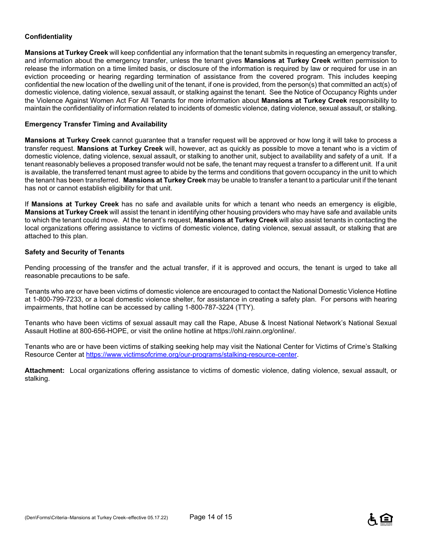#### **Confidentiality**

**Mansions at Turkey Creek** will keep confidential any information that the tenant submits in requesting an emergency transfer, and information about the emergency transfer, unless the tenant gives **Mansions at Turkey Creek** written permission to release the information on a time limited basis, or disclosure of the information is required by law or required for use in an eviction proceeding or hearing regarding termination of assistance from the covered program. This includes keeping confidential the new location of the dwelling unit of the tenant, if one is provided, from the person(s) that committed an act(s) of domestic violence, dating violence, sexual assault, or stalking against the tenant. See the Notice of Occupancy Rights under the Violence Against Women Act For All Tenants for more information about **Mansions at Turkey Creek** responsibility to maintain the confidentiality of information related to incidents of domestic violence, dating violence, sexual assault, or stalking.

#### **Emergency Transfer Timing and Availability**

**Mansions at Turkey Creek** cannot guarantee that a transfer request will be approved or how long it will take to process a transfer request. **Mansions at Turkey Creek** will, however, act as quickly as possible to move a tenant who is a victim of domestic violence, dating violence, sexual assault, or stalking to another unit, subject to availability and safety of a unit. If a tenant reasonably believes a proposed transfer would not be safe, the tenant may request a transfer to a different unit. If a unit is available, the transferred tenant must agree to abide by the terms and conditions that govern occupancy in the unit to which the tenant has been transferred. **Mansions at Turkey Creek** may be unable to transfer a tenant to a particular unit if the tenant has not or cannot establish eligibility for that unit.

If **Mansions at Turkey Creek** has no safe and available units for which a tenant who needs an emergency is eligible, **Mansions at Turkey Creek** will assist the tenant in identifying other housing providers who may have safe and available units to which the tenant could move. At the tenant's request, **Mansions at Turkey Creek** will also assist tenants in contacting the local organizations offering assistance to victims of domestic violence, dating violence, sexual assault, or stalking that are attached to this plan.

#### **Safety and Security of Tenants**

Pending processing of the transfer and the actual transfer, if it is approved and occurs, the tenant is urged to take all reasonable precautions to be safe.

Tenants who are or have been victims of domestic violence are encouraged to contact the National Domestic Violence Hotline at 1-800-799-7233, or a local domestic violence shelter, for assistance in creating a safety plan. For persons with hearing impairments, that hotline can be accessed by calling 1-800-787-3224 (TTY).

Tenants who have been victims of sexual assault may call the Rape, Abuse & Incest National Network's National Sexual Assault Hotline at 800-656-HOPE, or visit the online hotline at https://ohl.rainn.org/online/.

Tenants who are or have been victims of stalking seeking help may visit the National Center for Victims of Crime's Stalking Resource Center at https://www.victimsofcrime.org/our-programs/stalking-resource-center.

**Attachment:** Local organizations offering assistance to victims of domestic violence, dating violence, sexual assault, or stalking.